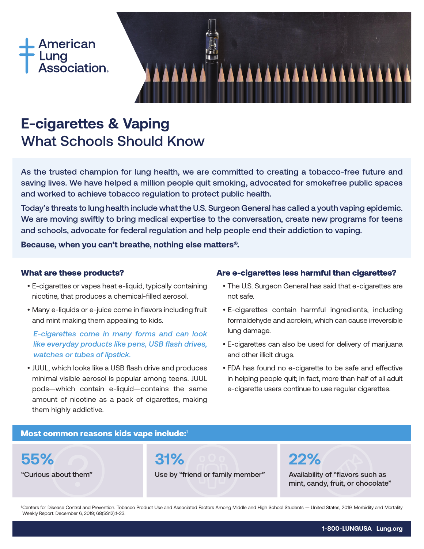



# **E-cigarettes & Vaping** What Schools Should Know

As the trusted champion for lung health, we are committed to creating a tobacco-free future and saving lives. We have helped a million people quit smoking, advocated for smokefree public spaces and worked to achieve tobacco regulation to protect public health.

Today's threats to lung health include what the U.S. Surgeon General has called a youth vaping epidemic. We are moving swiftly to bring medical expertise to the conversation, create new programs for teens and schools, advocate for federal regulation and help people end their addiction to vaping.

**Because, when you can't breathe, nothing else matters®.**

## What are these products?

- E-cigarettes or vapes heat e-liquid, typically containing nicotine, that produces a chemical-filled aerosol.
- Many e-liquids or e-juice come in flavors including fruit and mint making them appealing to kids.

# *E-cigarettes come in many forms and can look like everyday products like pens, USB flash drives, watches or tubes of lipstick.*

• JUUL, which looks like a USB flash drive and produces minimal visible aerosol is popular among teens. JUUL pods—which contain e-liquid—contains the same amount of nicotine as a pack of cigarettes, making them highly addictive.

# Are e-cigarettes less harmful than cigarettes?

- The U.S. Surgeon General has said that e-cigarettes are not safe.
- E-cigarettes contain harmful ingredients, including formaldehyde and acrolein, which can cause irreversible lung damage.
- E-cigarettes can also be used for delivery of marijuana and other illicit drugs.
- FDA has found no e-cigarette to be safe and effective in helping people quit; in fact, more than half of all adult e-cigarette users continue to use regular cigarettes.

# Most common reasons kids vape include:<sup>1</sup>



1 Centers for Disease Control and Prevention. Tobacco Product Use and Associated Factors Among Middle and High School Students — United States, 2019. Morbidity and Mortality Weekly Report. December 6, 2019; 68(SS12):1-23.